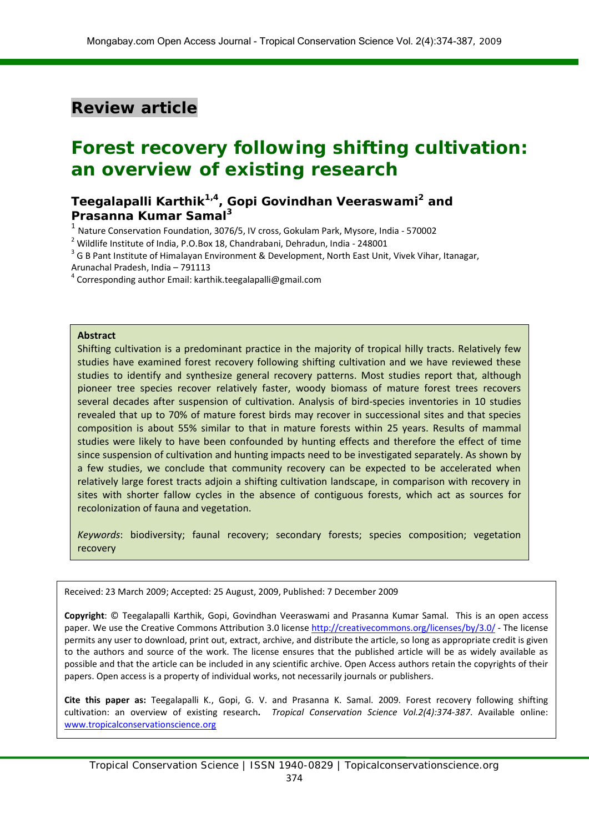## **Review article**

# **Forest recovery following shifting cultivation: an overview of existing research**

## **Teegalapalli Karthik1,4, Gopi Govindhan Veeraswami2 and Prasanna Kumar Samal<sup>3</sup>**

<sup>1</sup> Nature Conservation Foundation, 3076/5, IV cross, Gokulam Park, Mysore, India - 570002

 $2$  Wildlife Institute of India, P.O.Box 18, Chandrabani, Dehradun, India - 248001

<sup>3</sup> G B Pant Institute of Himalayan Environment & Development, North East Unit, Vivek Vihar, Itanagar,

Arunachal Pradesh, India – 791113

<sup>4</sup> Corresponding author Email: karthik.teegalapalli@gmail.com

#### **Abstract**

Shifting cultivation is a predominant practice in the majority of tropical hilly tracts. Relatively few studies have examined forest recovery following shifting cultivation and we have reviewed these studies to identify and synthesize general recovery patterns. Most studies report that, although pioneer tree species recover relatively faster, woody biomass of mature forest trees recovers several decades after suspension of cultivation. Analysis of bird-species inventories in 10 studies revealed that up to 70% of mature forest birds may recover in successional sites and that species composition is about 55% similar to that in mature forests within 25 years. Results of mammal studies were likely to have been confounded by hunting effects and therefore the effect of time since suspension of cultivation and hunting impacts need to be investigated separately. As shown by a few studies, we conclude that community recovery can be expected to be accelerated when relatively large forest tracts adjoin a shifting cultivation landscape, in comparison with recovery in sites with shorter fallow cycles in the absence of contiguous forests, which act as sources for recolonization of fauna and vegetation.

*Keywords*: biodiversity; faunal recovery; secondary forests; species composition; vegetation recovery

Received: 23 March 2009; Accepted: 25 August, 2009, Published: 7 December 2009

**Copyright**: © Teegalapalli Karthik, Gopi, Govindhan Veeraswami and Prasanna Kumar Samal. This is an open access paper. We use the Creative Commons Attribution 3.0 license<http://creativecommons.org/licenses/by/3.0/> - The license permits any user to download, print out, extract, archive, and distribute the article, so long as appropriate credit is given to the authors and source of the work. The license ensures that the published article will be as widely available as possible and that the article can be included in any scientific archive. Open Access authors retain the copyrights of their papers. Open access is a property of individual works, not necessarily journals or publishers.

**Cite this paper as:** Teegalapalli K., Gopi, G. V. and Prasanna K. Samal. 2009. Forest recovery following shifting cultivation: an overview of existing research**.** *Tropical Conservation Science Vol.2(4):374-387*. Available online: [www.tropicalconservationscience.org](http://www.tropicalconservationscience.org/)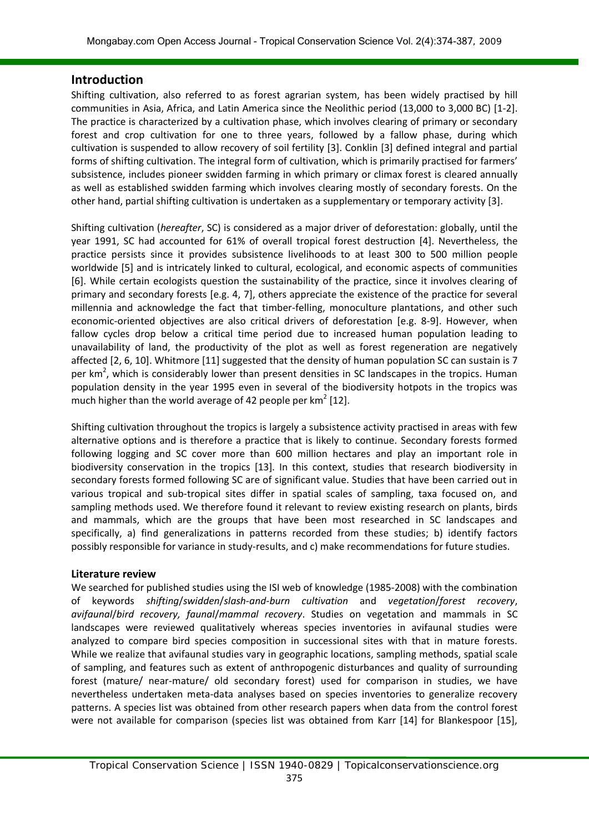### **Introduction**

Shifting cultivation, also referred to as forest agrarian system, has been widely practised by hill communities in Asia, Africa, and Latin America since the Neolithic period (13,000 to 3,000 BC) [1-2]. The practice is characterized by a cultivation phase, which involves clearing of primary or secondary forest and crop cultivation for one to three years, followed by a fallow phase, during which cultivation is suspended to allow recovery of soil fertility [3]. Conklin [3] defined integral and partial forms of shifting cultivation. The integral form of cultivation, which is primarily practised for farmers' subsistence, includes pioneer swidden farming in which primary or climax forest is cleared annually as well as established swidden farming which involves clearing mostly of secondary forests. On the other hand, partial shifting cultivation is undertaken as a supplementary or temporary activity [3].

Shifting cultivation (*hereafter*, SC) is considered as a major driver of deforestation: globally, until the year 1991, SC had accounted for 61% of overall tropical forest destruction [4]. Nevertheless, the practice persists since it provides subsistence livelihoods to at least 300 to 500 million people worldwide [5] and is intricately linked to cultural, ecological, and economic aspects of communities [6]. While certain ecologists question the sustainability of the practice, since it involves clearing of primary and secondary forests [e.g. 4, 7], others appreciate the existence of the practice for several millennia and acknowledge the fact that timber-felling, monoculture plantations, and other such economic-oriented objectives are also critical drivers of deforestation [e.g. 8-9]. However, when fallow cycles drop below a critical time period due to increased human population leading to unavailability of land, the productivity of the plot as well as forest regeneration are negatively affected [2, 6, 10]. Whitmore [11] suggested that the density of human population SC can sustain is 7 per km<sup>2</sup>, which is considerably lower than present densities in SC landscapes in the tropics. Human population density in the year 1995 even in several of the biodiversity hotpots in the tropics was much higher than the world average of 42 people per  $km^2$  [12].

Shifting cultivation throughout the tropics is largely a subsistence activity practised in areas with few alternative options and is therefore a practice that is likely to continue. Secondary forests formed following logging and SC cover more than 600 million hectares and play an important role in biodiversity conservation in the tropics [13]. In this context, studies that research biodiversity in secondary forests formed following SC are of significant value. Studies that have been carried out in various tropical and sub-tropical sites differ in spatial scales of sampling, taxa focused on, and sampling methods used. We therefore found it relevant to review existing research on plants, birds and mammals, which are the groups that have been most researched in SC landscapes and specifically, a) find generalizations in patterns recorded from these studies; b) identify factors possibly responsible for variance in study-results, and c) make recommendations for future studies.

#### **Literature review**

We searched for published studies using the ISI web of knowledge (1985-2008) with the combination of keywords *shifting*/*swidden*/*slash-and-burn cultivation* and *vegetation*/*forest recovery*, *avifaunal*/*bird recovery, faunal*/*mammal recovery*. Studies on vegetation and mammals in SC landscapes were reviewed qualitatively whereas species inventories in avifaunal studies were analyzed to compare bird species composition in successional sites with that in mature forests. While we realize that avifaunal studies vary in geographic locations, sampling methods, spatial scale of sampling, and features such as extent of anthropogenic disturbances and quality of surrounding forest (mature/ near-mature/ old secondary forest) used for comparison in studies, we have nevertheless undertaken meta-data analyses based on species inventories to generalize recovery patterns. A species list was obtained from other research papers when data from the control forest were not available for comparison (species list was obtained from Karr [14] for Blankespoor [15],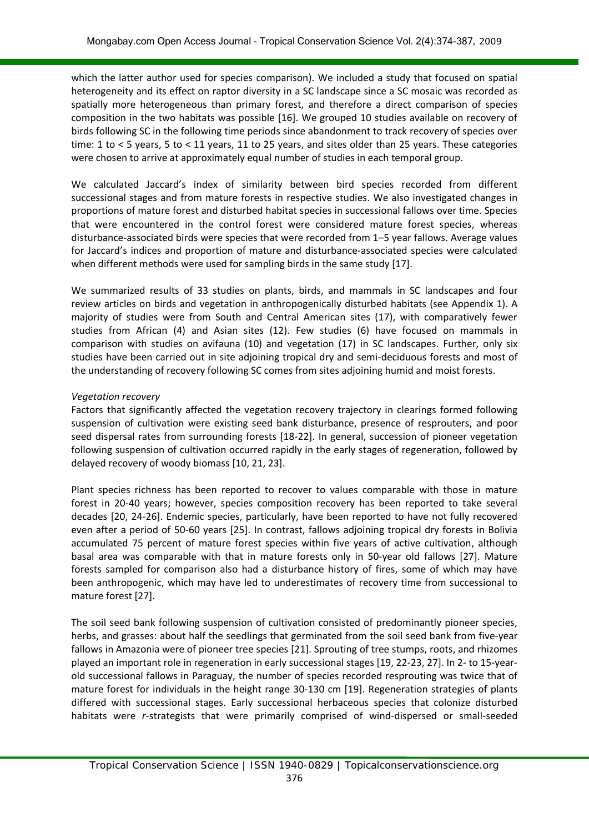which the latter author used for species comparison). We included a study that focused on spatial heterogeneity and its effect on raptor diversity in a SC landscape since a SC mosaic was recorded as spatially more heterogeneous than primary forest, and therefore a direct comparison of species composition in the two habitats was possible [16]. We grouped 10 studies available on recovery of birds following SC in the following time periods since abandonment to track recovery of species over time: 1 to < 5 years, 5 to < 11 years, 11 to 25 years, and sites older than 25 years. These categories were chosen to arrive at approximately equal number of studies in each temporal group.

We calculated Jaccard's index of similarity between bird species recorded from different successional stages and from mature forests in respective studies. We also investigated changes in proportions of mature forest and disturbed habitat species in successional fallows over time. Species that were encountered in the control forest were considered mature forest species, whereas disturbance-associated birds were species that were recorded from 1–5 year fallows. Average values for Jaccard's indices and proportion of mature and disturbance-associated species were calculated when different methods were used for sampling birds in the same study [17].

We summarized results of 33 studies on plants, birds, and mammals in SC landscapes and four review articles on birds and vegetation in anthropogenically disturbed habitats (see Appendix 1). A majority of studies were from South and Central American sites (17), with comparatively fewer studies from African (4) and Asian sites (12). Few studies (6) have focused on mammals in comparison with studies on avifauna (10) and vegetation (17) in SC landscapes. Further, only six studies have been carried out in site adjoining tropical dry and semi-deciduous forests and most of the understanding of recovery following SC comes from sites adjoining humid and moist forests.

#### *Vegetation recovery*

Factors that significantly affected the vegetation recovery trajectory in clearings formed following suspension of cultivation were existing seed bank disturbance, presence of resprouters, and poor seed dispersal rates from surrounding forests [18-22]. In general, succession of pioneer vegetation following suspension of cultivation occurred rapidly in the early stages of regeneration, followed by delayed recovery of woody biomass [10, 21, 23].

Plant species richness has been reported to recover to values comparable with those in mature forest in 20-40 years; however, species composition recovery has been reported to take several decades [20, 24-26]. Endemic species, particularly, have been reported to have not fully recovered even after a period of 50-60 years [25]. In contrast, fallows adjoining tropical dry forests in Bolivia accumulated 75 percent of mature forest species within five years of active cultivation, although basal area was comparable with that in mature forests only in 50-year old fallows [27]. Mature forests sampled for comparison also had a disturbance history of fires, some of which may have been anthropogenic, which may have led to underestimates of recovery time from successional to mature forest [27].

The soil seed bank following suspension of cultivation consisted of predominantly pioneer species, herbs, and grasses: about half the seedlings that germinated from the soil seed bank from five-year fallows in Amazonia were of pioneer tree species [21]. Sprouting of tree stumps, roots, and rhizomes played an important role in regeneration in early successional stages [19, 22-23, 27]. In 2- to 15-yearold successional fallows in Paraguay, the number of species recorded resprouting was twice that of mature forest for individuals in the height range 30-130 cm [19]. Regeneration strategies of plants differed with successional stages. Early successional herbaceous species that colonize disturbed habitats were *r-*strategists that were primarily comprised of wind-dispersed or small-seeded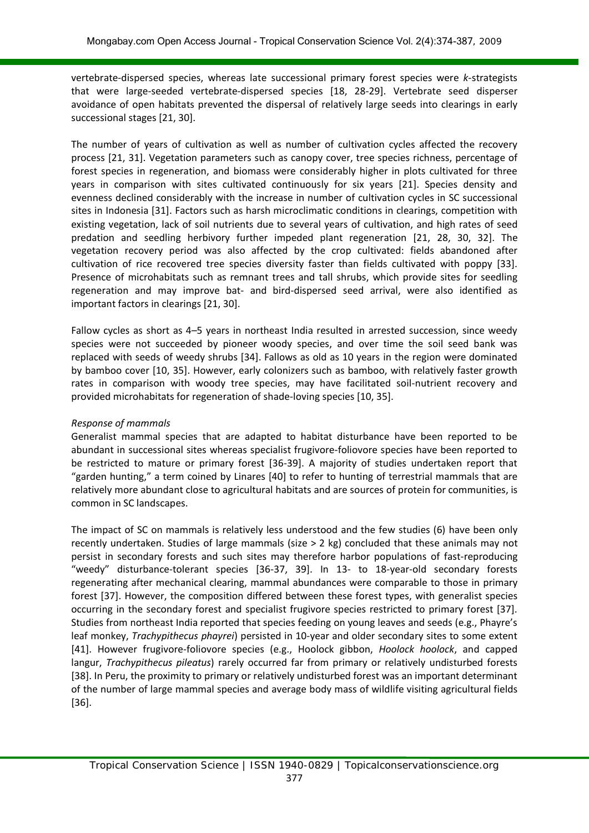vertebrate-dispersed species, whereas late successional primary forest species were *k-*strategists that were large-seeded vertebrate-dispersed species [18, 28-29]. Vertebrate seed disperser avoidance of open habitats prevented the dispersal of relatively large seeds into clearings in early successional stages [21, 30].

The number of years of cultivation as well as number of cultivation cycles affected the recovery process [21, 31]. Vegetation parameters such as canopy cover, tree species richness, percentage of forest species in regeneration, and biomass were considerably higher in plots cultivated for three years in comparison with sites cultivated continuously for six years [21]. Species density and evenness declined considerably with the increase in number of cultivation cycles in SC successional sites in Indonesia [31]. Factors such as harsh microclimatic conditions in clearings, competition with existing vegetation, lack of soil nutrients due to several years of cultivation, and high rates of seed predation and seedling herbivory further impeded plant regeneration [21, 28, 30, 32]. The vegetation recovery period was also affected by the crop cultivated: fields abandoned after cultivation of rice recovered tree species diversity faster than fields cultivated with poppy [33]. Presence of microhabitats such as remnant trees and tall shrubs, which provide sites for seedling regeneration and may improve bat- and bird-dispersed seed arrival, were also identified as important factors in clearings [21, 30].

Fallow cycles as short as 4–5 years in northeast India resulted in arrested succession, since weedy species were not succeeded by pioneer woody species, and over time the soil seed bank was replaced with seeds of weedy shrubs [34]. Fallows as old as 10 years in the region were dominated by bamboo cover [10, 35]. However, early colonizers such as bamboo, with relatively faster growth rates in comparison with woody tree species, may have facilitated soil-nutrient recovery and provided microhabitats for regeneration of shade-loving species [10, 35].

### *Response of mammals*

Generalist mammal species that are adapted to habitat disturbance have been reported to be abundant in successional sites whereas specialist frugivore-foliovore species have been reported to be restricted to mature or primary forest [36-39]. A majority of studies undertaken report that "garden hunting," a term coined by Linares [40] to refer to hunting of terrestrial mammals that are relatively more abundant close to agricultural habitats and are sources of protein for communities, is common in SC landscapes.

The impact of SC on mammals is relatively less understood and the few studies (6) have been only recently undertaken. Studies of large mammals (size > 2 kg) concluded that these animals may not persist in secondary forests and such sites may therefore harbor populations of fast-reproducing "weedy" disturbance-tolerant species [36-37, 39]. In 13- to 18-year-old secondary forests regenerating after mechanical clearing, mammal abundances were comparable to those in primary forest [37]. However, the composition differed between these forest types, with generalist species occurring in the secondary forest and specialist frugivore species restricted to primary forest [37]. Studies from northeast India reported that species feeding on young leaves and seeds (e.g., Phayre's leaf monkey, *Trachypithecus phayrei*) persisted in 10-year and older secondary sites to some extent [41]. However frugivore-foliovore species (e.g., Hoolock gibbon, *Hoolock hoolock*, and capped langur, *Trachypithecus pileatus*) rarely occurred far from primary or relatively undisturbed forests [38]. In Peru, the proximity to primary or relatively undisturbed forest was an important determinant of the number of large mammal species and average body mass of wildlife visiting agricultural fields [36].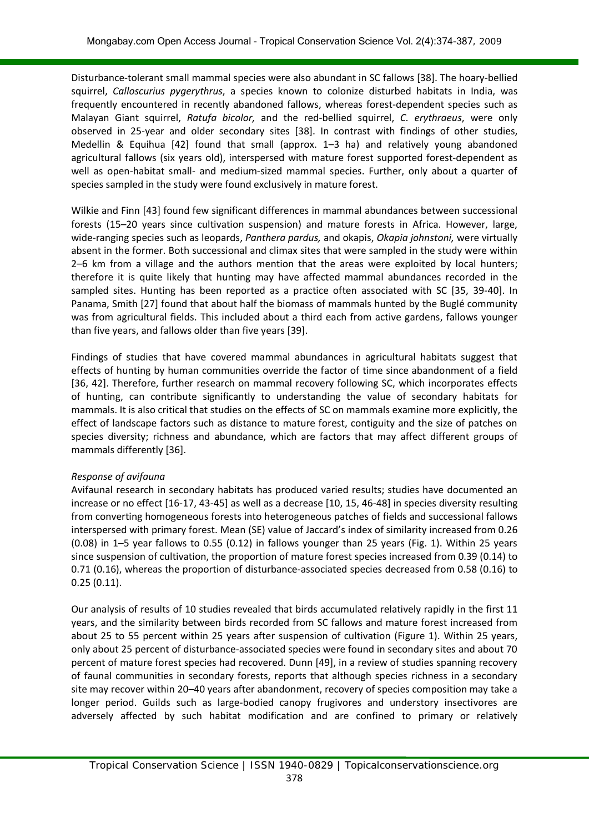Disturbance-tolerant small mammal species were also abundant in SC fallows [38]. The hoary-bellied squirrel, *Calloscurius pygerythrus*, a species known to colonize disturbed habitats in India, was frequently encountered in recently abandoned fallows, whereas forest-dependent species such as Malayan Giant squirrel, *Ratufa bicolor,* and the red-bellied squirrel, *C. erythraeus*, were only observed in 25-year and older secondary sites [38]. In contrast with findings of other studies, Medellin & Equihua [42] found that small (approx. 1–3 ha) and relatively young abandoned agricultural fallows (six years old), interspersed with mature forest supported forest-dependent as well as open-habitat small- and medium-sized mammal species. Further, only about a quarter of species sampled in the study were found exclusively in mature forest.

Wilkie and Finn [43] found few significant differences in mammal abundances between successional forests (15–20 years since cultivation suspension) and mature forests in Africa. However, large, wide-ranging species such as leopards, *Panthera pardus,* and okapis, *Okapia johnstoni,* were virtually absent in the former. Both successional and climax sites that were sampled in the study were within 2–6 km from a village and the authors mention that the areas were exploited by local hunters; therefore it is quite likely that hunting may have affected mammal abundances recorded in the sampled sites. Hunting has been reported as a practice often associated with SC [35, 39-40]. In Panama, Smith [27] found that about half the biomass of mammals hunted by the Buglé community was from agricultural fields. This included about a third each from active gardens, fallows younger than five years, and fallows older than five years [39].

Findings of studies that have covered mammal abundances in agricultural habitats suggest that effects of hunting by human communities override the factor of time since abandonment of a field [36, 42]. Therefore, further research on mammal recovery following SC, which incorporates effects of hunting, can contribute significantly to understanding the value of secondary habitats for mammals. It is also critical that studies on the effects of SC on mammals examine more explicitly, the effect of landscape factors such as distance to mature forest, contiguity and the size of patches on species diversity; richness and abundance, which are factors that may affect different groups of mammals differently [36].

#### *Response of avifauna*

Avifaunal research in secondary habitats has produced varied results; studies have documented an increase or no effect [16-17, 43-45] as well as a decrease [10, 15, 46-48] in species diversity resulting from converting homogeneous forests into heterogeneous patches of fields and successional fallows interspersed with primary forest. Mean (SE) value of Jaccard's index of similarity increased from 0.26 (0.08) in 1–5 year fallows to 0.55 (0.12) in fallows younger than 25 years (Fig. 1). Within 25 years since suspension of cultivation, the proportion of mature forest species increased from 0.39 (0.14) to 0.71 (0.16), whereas the proportion of disturbance-associated species decreased from 0.58 (0.16) to 0.25 (0.11).

Our analysis of results of 10 studies revealed that birds accumulated relatively rapidly in the first 11 years, and the similarity between birds recorded from SC fallows and mature forest increased from about 25 to 55 percent within 25 years after suspension of cultivation (Figure 1). Within 25 years, only about 25 percent of disturbance-associated species were found in secondary sites and about 70 percent of mature forest species had recovered. Dunn [49], in a review of studies spanning recovery of faunal communities in secondary forests, reports that although species richness in a secondary site may recover within 20–40 years after abandonment, recovery of species composition may take a longer period. Guilds such as large-bodied canopy frugivores and understory insectivores are adversely affected by such habitat modification and are confined to primary or relatively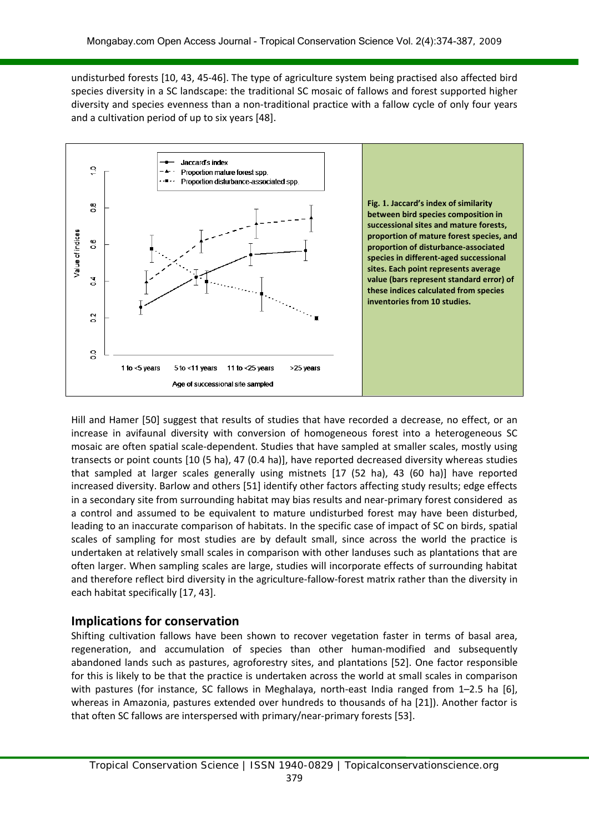undisturbed forests [10, 43, 45-46]. The type of agriculture system being practised also affected bird species diversity in a SC landscape: the traditional SC mosaic of fallows and forest supported higher diversity and species evenness than a non-traditional practice with a fallow cycle of only four years and a cultivation period of up to six years [48].



Hill and Hamer [50] suggest that results of studies that have recorded a decrease, no effect, or an increase in avifaunal diversity with conversion of homogeneous forest into a heterogeneous SC mosaic are often spatial scale-dependent. Studies that have sampled at smaller scales, mostly using transects or point counts [10 (5 ha), 47 (0.4 ha)], have reported decreased diversity whereas studies that sampled at larger scales generally using mistnets [17 (52 ha), 43 (60 ha)] have reported increased diversity. Barlow and others [51] identify other factors affecting study results; edge effects in a secondary site from surrounding habitat may bias results and near-primary forest considered as a control and assumed to be equivalent to mature undisturbed forest may have been disturbed, leading to an inaccurate comparison of habitats. In the specific case of impact of SC on birds, spatial scales of sampling for most studies are by default small, since across the world the practice is undertaken at relatively small scales in comparison with other landuses such as plantations that are often larger. When sampling scales are large, studies will incorporate effects of surrounding habitat and therefore reflect bird diversity in the agriculture-fallow-forest matrix rather than the diversity in each habitat specifically [17, 43].

## **Implications for conservation**

Shifting cultivation fallows have been shown to recover vegetation faster in terms of basal area, regeneration, and accumulation of species than other human-modified and subsequently abandoned lands such as pastures, agroforestry sites, and plantations [52]. One factor responsible for this is likely to be that the practice is undertaken across the world at small scales in comparison with pastures (for instance, SC fallows in Meghalaya, north-east India ranged from 1-2.5 ha [6], whereas in Amazonia, pastures extended over hundreds to thousands of ha [21]). Another factor is that often SC fallows are interspersed with primary/near-primary forests [53].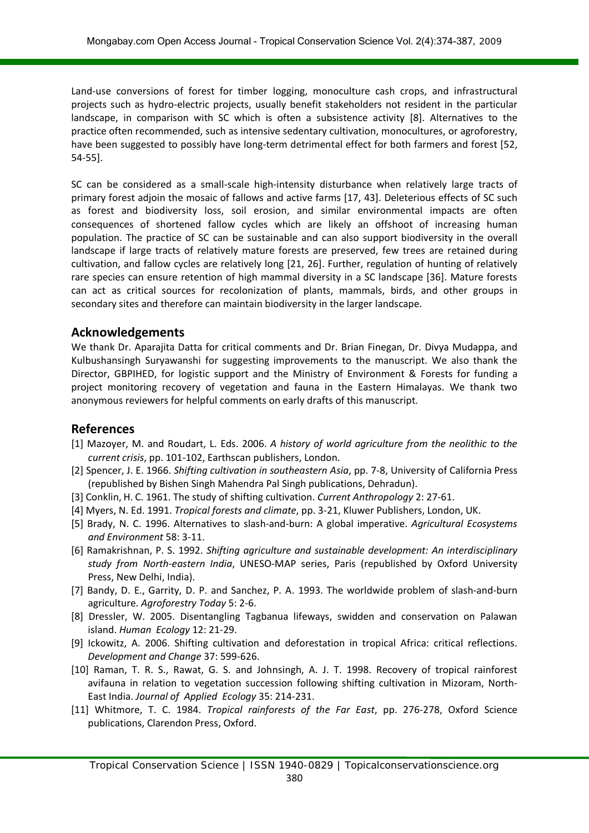Land-use conversions of forest for timber logging, monoculture cash crops, and infrastructural projects such as hydro-electric projects, usually benefit stakeholders not resident in the particular landscape, in comparison with SC which is often a subsistence activity [8]. Alternatives to the practice often recommended, such as intensive sedentary cultivation, monocultures, or agroforestry, have been suggested to possibly have long-term detrimental effect for both farmers and forest [52, 54-55].

SC can be considered as a small-scale high-intensity disturbance when relatively large tracts of primary forest adjoin the mosaic of fallows and active farms [17, 43]. Deleterious effects of SC such as forest and biodiversity loss, soil erosion, and similar environmental impacts are often consequences of shortened fallow cycles which are likely an offshoot of increasing human population. The practice of SC can be sustainable and can also support biodiversity in the overall landscape if large tracts of relatively mature forests are preserved, few trees are retained during cultivation, and fallow cycles are relatively long [21, 26]. Further, regulation of hunting of relatively rare species can ensure retention of high mammal diversity in a SC landscape [36]. Mature forests can act as critical sources for recolonization of plants, mammals, birds, and other groups in secondary sites and therefore can maintain biodiversity in the larger landscape.

## **Acknowledgements**

We thank Dr. Aparajita Datta for critical comments and Dr. Brian Finegan, Dr. Divya Mudappa, and Kulbushansingh Suryawanshi for suggesting improvements to the manuscript. We also thank the Director, GBPIHED, for logistic support and the Ministry of Environment & Forests for funding a project monitoring recovery of vegetation and fauna in the Eastern Himalayas. We thank two anonymous reviewers for helpful comments on early drafts of this manuscript.

## **References**

- [1] Mazoyer, M. and Roudart, L. Eds. 2006. *A history of world agriculture from the neolithic to the current crisis*, pp. 101-102, Earthscan publishers, London.
- [2] Spencer, J. E. 1966. *Shifting cultivation in southeastern Asia*, pp. 7-8, University of California Press (republished by Bishen Singh Mahendra Pal Singh publications, Dehradun).
- [3] Conklin, H. C. 1961. The study of shifting cultivation. *Current Anthropology* 2: 27-61.
- [4] Myers, N. Ed. 1991. *Tropical forests and climate*, pp. 3-21, Kluwer Publishers, London, UK.
- [5] Brady, N. C. 1996. Alternatives to slash-and-burn: A global imperative. *Agricultural Ecosystems and Environment* 58: 3-11.
- [6] Ramakrishnan, P. S. 1992. *Shifting agriculture and sustainable development: An interdisciplinary study from North-eastern India*, UNESO-MAP series, Paris (republished by Oxford University Press, New Delhi, India).
- [7] Bandy, D. E., Garrity, D. P. and Sanchez, P. A. 1993. The worldwide problem of slash-and-burn agriculture. *Agroforestry Today* 5: 2-6.
- [8] Dressler, W. 2005. Disentangling Tagbanua lifeways, swidden and conservation on Palawan island. *Human Ecology* 12: 21-29.
- [9] Ickowitz, A. 2006. Shifting cultivation and deforestation in tropical Africa: critical reflections. *Development and Change* 37: 599-626.
- [10] Raman, T. R. S., Rawat, G. S. and Johnsingh, A. J. T. 1998. Recovery of tropical rainforest avifauna in relation to vegetation succession following shifting cultivation in Mizoram, North-East India. *Journal of Applied Ecology* 35: 214-231.
- [11] Whitmore, T. C. 1984. *Tropical rainforests of the Far East*, pp. 276-278, Oxford Science publications, Clarendon Press, Oxford.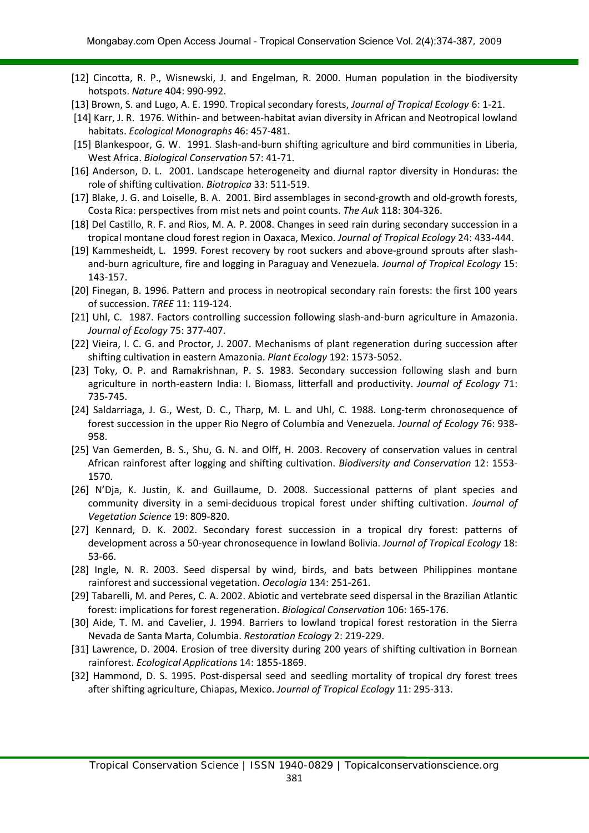- [12] Cincotta, R. P., Wisnewski, J. and Engelman, R. 2000. Human population in the biodiversity hotspots. *Nature* 404: 990-992.
- [13] Brown, S. and Lugo, A. E. 1990. Tropical secondary forests, *Journal of Tropical Ecology* 6: 1-21.
- [14] Karr, J. R. 1976. Within- and between-habitat avian diversity in African and Neotropical lowland habitats. *Ecological Monographs* 46: 457-481.
- [15] Blankespoor, G. W. 1991. Slash-and-burn shifting agriculture and bird communities in Liberia, West Africa. *Biological Conservation* 57: 41-71.
- [16] Anderson, D. L. 2001. Landscape heterogeneity and diurnal raptor diversity in Honduras: the role of shifting cultivation. *Biotropica* 33: 511-519.
- [17] Blake, J. G. and Loiselle, B. A. 2001. Bird assemblages in second-growth and old-growth forests, Costa Rica: perspectives from mist nets and point counts. *The Auk* 118: 304-326.
- [18] Del Castillo, R. F. and Rios, M. A. P. 2008. Changes in seed rain during secondary succession in a tropical montane cloud forest region in Oaxaca, Mexico. *Journal of Tropical Ecology* 24: 433-444.
- [19] Kammesheidt, L. 1999. Forest recovery by root suckers and above-ground sprouts after slashand-burn agriculture, fire and logging in Paraguay and Venezuela. *Journal of Tropical Ecology* 15: 143-157.
- [20] Finegan, B. 1996. Pattern and process in neotropical secondary rain forests: the first 100 years of succession. *TREE* 11: 119-124.
- [21] Uhl, C. 1987. Factors controlling succession following slash-and-burn agriculture in Amazonia. *Journal of Ecology* 75: 377-407.
- [22] Vieira, I. C. G. and Proctor, J. 2007. Mechanisms of plant regeneration during succession after shifting cultivation in eastern Amazonia. *Plant Ecology* 192: 1573-5052.
- [23] Toky, O. P. and Ramakrishnan, P. S. 1983. Secondary succession following slash and burn agriculture in north-eastern India: I. Biomass, litterfall and productivity. *Journal of Ecology* 71: 735-745.
- [24] Saldarriaga, J. G., West, D. C., Tharp, M. L. and Uhl, C. 1988. Long-term chronosequence of forest succession in the upper Rio Negro of Columbia and Venezuela. *Journal of Ecology* 76: 938- 958.
- [25] Van Gemerden, B. S., Shu, G. N. and Olff, H. 2003. Recovery of conservation values in central African rainforest after logging and shifting cultivation. *Biodiversity and Conservation* 12: 1553- 1570.
- [26] N'Dja, K. Justin, K. and Guillaume, D. 2008. Successional patterns of plant species and community diversity in a semi-deciduous tropical forest under shifting cultivation. *Journal of Vegetation Science* 19: 809-820.
- [27] Kennard, D. K. 2002. Secondary forest succession in a tropical dry forest: patterns of development across a 50-year chronosequence in lowland Bolivia. *Journal of Tropical Ecology* 18: 53-66.
- [28] Ingle, N. R. 2003. Seed dispersal by wind, birds, and bats between Philippines montane rainforest and successional vegetation. *Oecologia* 134: 251-261.
- [29] Tabarelli, M. and Peres, C. A. 2002. Abiotic and vertebrate seed dispersal in the Brazilian Atlantic forest: implications for forest regeneration. *Biological Conservation* 106: 165-176.
- [30] Aide, T. M. and Cavelier, J. 1994. Barriers to lowland tropical forest restoration in the Sierra Nevada de Santa Marta, Columbia. *Restoration Ecology* 2: 219-229.
- [31] Lawrence, D. 2004. Erosion of tree diversity during 200 years of shifting cultivation in Bornean rainforest. *Ecological Applications* 14: 1855-1869.
- [32] Hammond, D. S. 1995. Post-dispersal seed and seedling mortality of tropical dry forest trees after shifting agriculture, Chiapas, Mexico. *Journal of Tropical Ecology* 11: 295-313.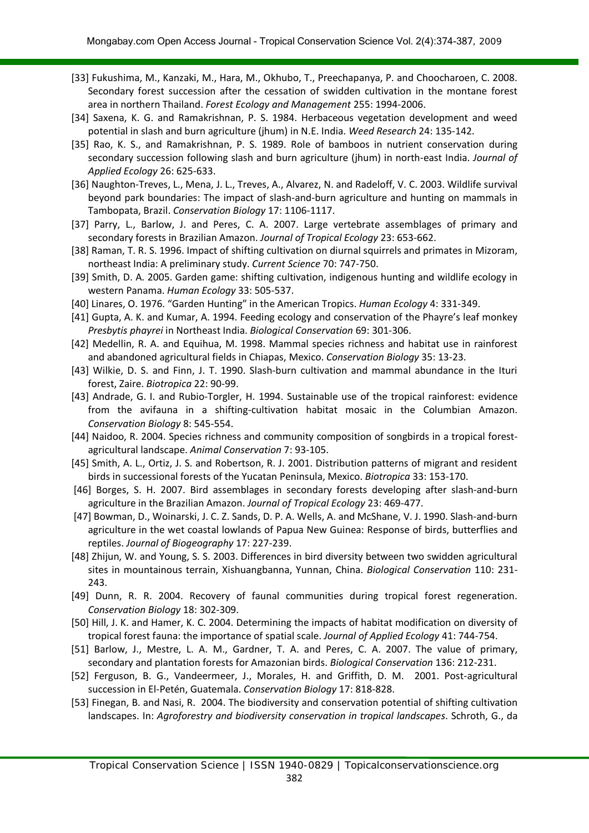- [33] Fukushima, M., Kanzaki, M., Hara, M., Okhubo, T., Preechapanya, P. and Choocharoen, C. 2008. Secondary forest succession after the cessation of swidden cultivation in the montane forest area in northern Thailand. *Forest Ecology and Management* 255: 1994-2006.
- [34] Saxena, K. G. and Ramakrishnan, P. S. 1984. Herbaceous vegetation development and weed potential in slash and burn agriculture (jhum) in N.E. India. *Weed Research* 24: 135-142.
- [35] Rao, K. S., and Ramakrishnan, P. S. 1989. Role of bamboos in nutrient conservation during secondary succession following slash and burn agriculture (jhum) in north-east India. *Journal of Applied Ecology* 26: 625-633.
- [36] Naughton-Treves, L., Mena, J. L., Treves, A., Alvarez, N. and Radeloff, V. C. 2003. Wildlife survival beyond park boundaries: The impact of slash-and-burn agriculture and hunting on mammals in Tambopata, Brazil. *Conservation Biology* 17: 1106-1117.
- [37] Parry, L., Barlow, J. and Peres, C. A. 2007. Large vertebrate assemblages of primary and secondary forests in Brazilian Amazon. *Journal of Tropical Ecology* 23: 653-662.
- [38] Raman, T. R. S. 1996. Impact of shifting cultivation on diurnal squirrels and primates in Mizoram, northeast India: A preliminary study. *Current Science* 70: 747-750.
- [39] Smith, D. A. 2005. Garden game: shifting cultivation, indigenous hunting and wildlife ecology in western Panama. *Human Ecology* 33: 505-537.
- [40] Linares, O. 1976. "Garden Hunting" in the American Tropics. *Human Ecology* 4: 331-349.
- [41] Gupta, A. K. and Kumar, A. 1994. Feeding ecology and conservation of the Phayre's leaf monkey *Presbytis phayrei* in Northeast India. *Biological Conservation* 69: 301-306.
- [42] Medellin, R. A. and Equihua, M. 1998. Mammal species richness and habitat use in rainforest and abandoned agricultural fields in Chiapas, Mexico. *Conservation Biology* 35: 13-23.
- [43] Wilkie, D. S. and Finn, J. T. 1990. Slash-burn cultivation and mammal abundance in the Ituri forest, Zaire. *Biotropica* 22: 90-99.
- [43] Andrade, G. I. and Rubio-Torgler, H. 1994. Sustainable use of the tropical rainforest: evidence from the avifauna in a shifting-cultivation habitat mosaic in the Columbian Amazon. *Conservation Biology* 8: 545-554.
- [44] Naidoo, R. 2004. Species richness and community composition of songbirds in a tropical forestagricultural landscape. *Animal Conservation* 7: 93-105.
- [45] Smith, A. L., Ortiz, J. S. and Robertson, R. J. 2001. Distribution patterns of migrant and resident birds in successional forests of the Yucatan Peninsula, Mexico. *Biotropica* 33: 153-170.
- [46] Borges, S. H. 2007. Bird assemblages in secondary forests developing after slash-and-burn agriculture in the Brazilian Amazon. *Journal of Tropical Ecology* 23: 469-477.
- [47] Bowman, D., Woinarski, J. C. Z. Sands, D. P. A. Wells, A. and McShane, V. J. 1990. Slash-and-burn agriculture in the wet coastal lowlands of Papua New Guinea: Response of birds, butterflies and reptiles. *Journal of Biogeography* 17: 227-239.
- [48] Zhijun, W. and Young, S. S. 2003. Differences in bird diversity between two swidden agricultural sites in mountainous terrain, Xishuangbanna, Yunnan, China. *Biological Conservation* 110: 231- 243.
- [49] Dunn, R. R. 2004. Recovery of faunal communities during tropical forest regeneration. *Conservation Biology* 18: 302-309.
- [50] Hill, J. K. and Hamer, K. C. 2004. Determining the impacts of habitat modification on diversity of tropical forest fauna: the importance of spatial scale. *Journal of Applied Ecology* 41: 744-754.
- [51] Barlow, J., Mestre, L. A. M., Gardner, T. A. and Peres, C. A. 2007. The value of primary, secondary and plantation forests for Amazonian birds. *Biological Conservation* 136: 212-231.
- [52] Ferguson, B. G., Vandeermeer, J., Morales, H. and Griffith, D. M. 2001. Post-agricultural succession in El-Petén, Guatemala. *Conservation Biology* 17: 818-828.
- [53] Finegan, B. and Nasi, R. 2004. The biodiversity and conservation potential of shifting cultivation landscapes. In: *Agroforestry and biodiversity conservation in tropical landscapes*. Schroth, G., da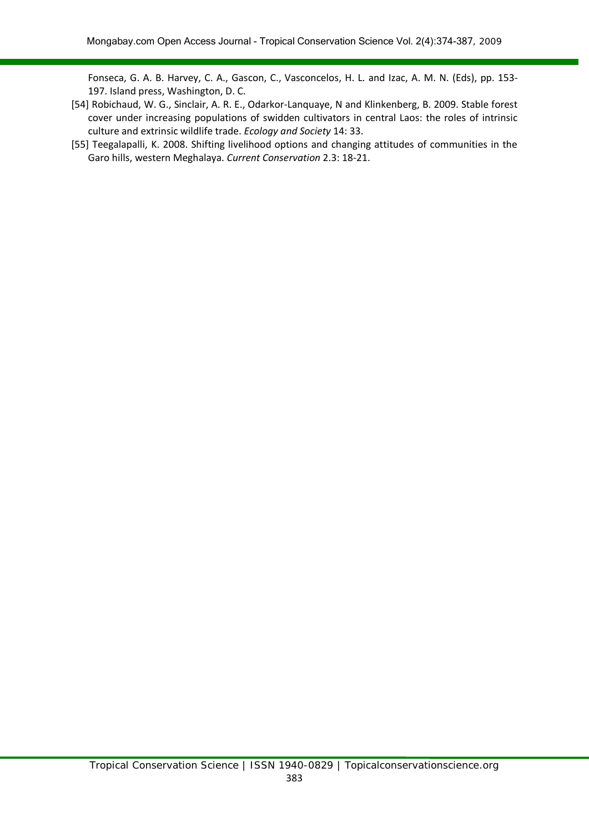Fonseca, G. A. B. Harvey, C. A., Gascon, C., Vasconcelos, H. L. and Izac, A. M. N. (Eds), pp. 153- 197. Island press, Washington, D. C.

- [54] Robichaud, W. G., Sinclair, A. R. E., Odarkor-Lanquaye, N and Klinkenberg, B. 2009. Stable forest cover under increasing populations of swidden cultivators in central Laos: the roles of intrinsic culture and extrinsic wildlife trade. *Ecology and Society* 14: 33.
- [55] Teegalapalli, K. 2008. Shifting livelihood options and changing attitudes of communities in the Garo hills, western Meghalaya. *Current Conservation* 2.3: 18-21.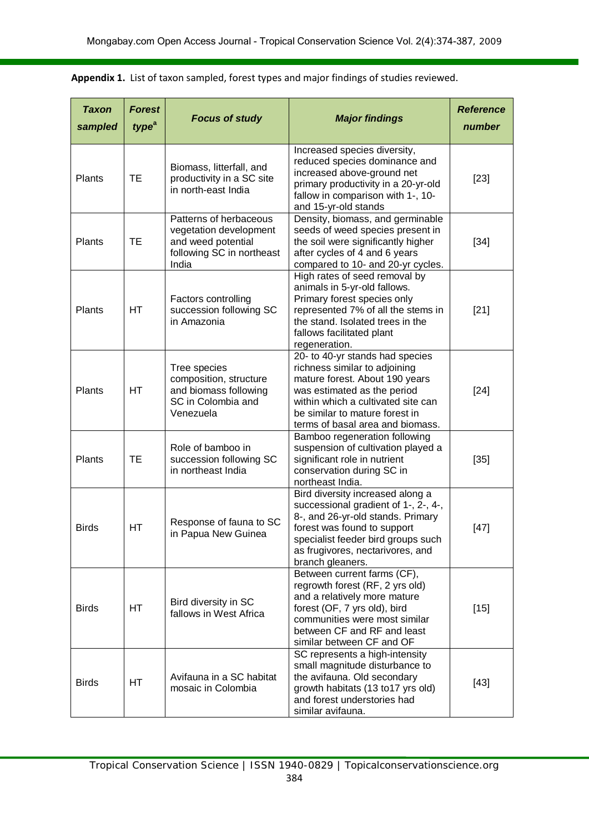| <b>Taxon</b><br>sampled | <b>Forest</b><br>type <sup>a</sup> | <b>Focus of study</b>                                                                                        | <b>Major findings</b>                                                                                                                                                                                                                         | <b>Reference</b><br>number |
|-------------------------|------------------------------------|--------------------------------------------------------------------------------------------------------------|-----------------------------------------------------------------------------------------------------------------------------------------------------------------------------------------------------------------------------------------------|----------------------------|
| Plants                  | TE                                 | Biomass, litterfall, and<br>productivity in a SC site<br>in north-east India                                 | Increased species diversity,<br>reduced species dominance and<br>increased above-ground net<br>primary productivity in a 20-yr-old<br>fallow in comparison with 1-, 10-<br>and 15-yr-old stands                                               | $[23]$                     |
| Plants                  | TE                                 | Patterns of herbaceous<br>vegetation development<br>and weed potential<br>following SC in northeast<br>India | Density, biomass, and germinable<br>seeds of weed species present in<br>the soil were significantly higher<br>after cycles of 4 and 6 years<br>compared to 10- and 20-yr cycles.                                                              | $[34]$                     |
| Plants                  | <b>HT</b>                          | Factors controlling<br>succession following SC<br>in Amazonia                                                | High rates of seed removal by<br>animals in 5-yr-old fallows.<br>Primary forest species only<br>represented 7% of all the stems in<br>the stand. Isolated trees in the<br>fallows facilitated plant<br>regeneration.                          | $[21]$                     |
| Plants                  | HT                                 | Tree species<br>composition, structure<br>and biomass following<br>SC in Colombia and<br>Venezuela           | 20- to 40-yr stands had species<br>richness similar to adjoining<br>mature forest. About 190 years<br>was estimated as the period<br>within which a cultivated site can<br>be similar to mature forest in<br>terms of basal area and biomass. | $[24]$                     |
| Plants                  | TE                                 | Role of bamboo in<br>succession following SC<br>in northeast India                                           | Bamboo regeneration following<br>suspension of cultivation played a<br>significant role in nutrient<br>conservation during SC in<br>northeast India.                                                                                          | $[35]$                     |
| <b>Birds</b>            | HT.                                | Response of fauna to SC<br>in Papua New Guinea                                                               | Bird diversity increased along a<br>successional gradient of 1-, 2-, 4-,<br>8-, and 26-yr-old stands. Primary<br>forest was found to support<br>specialist feeder bird groups such<br>as frugivores, nectarivores, and<br>branch gleaners.    | $[47]$                     |
| <b>Birds</b>            | HT                                 | Bird diversity in SC<br>fallows in West Africa                                                               | Between current farms (CF),<br>regrowth forest (RF, 2 yrs old)<br>and a relatively more mature<br>forest (OF, 7 yrs old), bird<br>communities were most similar<br>between CF and RF and least<br>similar between CF and OF                   | $[15]$                     |
| <b>Birds</b>            | <b>HT</b>                          | Avifauna in a SC habitat<br>mosaic in Colombia                                                               | SC represents a high-intensity<br>small magnitude disturbance to<br>the avifauna. Old secondary<br>growth habitats (13 to 17 yrs old)<br>and forest understories had<br>similar avifauna.                                                     | $[43]$                     |

**Appendix 1.** List of taxon sampled, forest types and major findings of studies reviewed.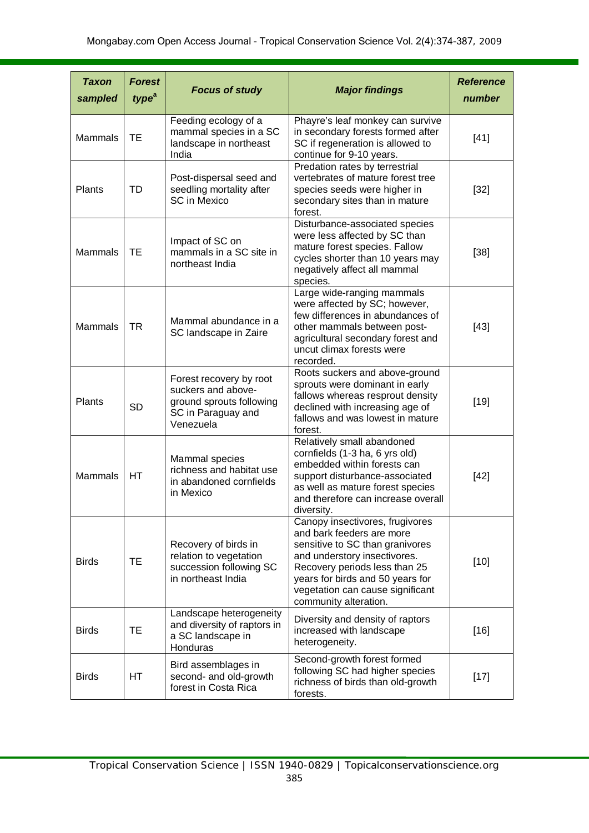| <b>Taxon</b><br>sampled | <b>Forest</b><br>type <sup>a</sup> | <b>Focus of study</b>                                                                                        | <b>Major findings</b>                                                                                                                                                                                                                                             | <b>Reference</b><br>number |
|-------------------------|------------------------------------|--------------------------------------------------------------------------------------------------------------|-------------------------------------------------------------------------------------------------------------------------------------------------------------------------------------------------------------------------------------------------------------------|----------------------------|
| <b>Mammals</b>          | <b>TE</b>                          | Feeding ecology of a<br>mammal species in a SC<br>landscape in northeast<br>India                            | Phayre's leaf monkey can survive<br>in secondary forests formed after<br>SC if regeneration is allowed to<br>continue for 9-10 years.                                                                                                                             | $[41]$                     |
| Plants                  | <b>TD</b>                          | Post-dispersal seed and<br>seedling mortality after<br><b>SC in Mexico</b>                                   | Predation rates by terrestrial<br>vertebrates of mature forest tree<br>species seeds were higher in<br>secondary sites than in mature<br>forest.                                                                                                                  | $[32]$                     |
| Mammals                 | <b>TE</b>                          | Impact of SC on<br>mammals in a SC site in<br>northeast India                                                | Disturbance-associated species<br>were less affected by SC than<br>mature forest species. Fallow<br>cycles shorter than 10 years may<br>negatively affect all mammal<br>species.                                                                                  | $[38]$                     |
| Mammals                 | <b>TR</b>                          | Mammal abundance in a<br>SC landscape in Zaire                                                               | Large wide-ranging mammals<br>were affected by SC; however,<br>few differences in abundances of<br>other mammals between post-<br>agricultural secondary forest and<br>uncut climax forests were<br>recorded.                                                     | $[43]$                     |
| Plants                  | <b>SD</b>                          | Forest recovery by root<br>suckers and above-<br>ground sprouts following<br>SC in Paraguay and<br>Venezuela | Roots suckers and above-ground<br>sprouts were dominant in early<br>fallows whereas resprout density<br>declined with increasing age of<br>fallows and was lowest in mature<br>forest.                                                                            | $[19]$                     |
| Mammals                 | <b>HT</b>                          | Mammal species<br>richness and habitat use<br>in abandoned cornfields<br>in Mexico                           | Relatively small abandoned<br>cornfields (1-3 ha, 6 yrs old)<br>embedded within forests can<br>support disturbance-associated<br>as well as mature forest species<br>and therefore can increase overall<br>diversity.                                             | $[42]$                     |
| <b>Birds</b>            | <b>TE</b>                          | Recovery of birds in<br>relation to vegetation<br>succession following SC<br>in northeast India              | Canopy insectivores, frugivores<br>and bark feeders are more<br>sensitive to SC than granivores<br>and understory insectivores.<br>Recovery periods less than 25<br>years for birds and 50 years for<br>vegetation can cause significant<br>community alteration. | $[10]$                     |
| <b>Birds</b>            | <b>TE</b>                          | Landscape heterogeneity<br>and diversity of raptors in<br>a SC landscape in<br>Honduras                      | Diversity and density of raptors<br>increased with landscape<br>heterogeneity.                                                                                                                                                                                    | $[16]$                     |
| <b>Birds</b>            | HT                                 | Bird assemblages in<br>second- and old-growth<br>forest in Costa Rica                                        | Second-growth forest formed<br>following SC had higher species<br>richness of birds than old-growth<br>forests.                                                                                                                                                   | $[17]$                     |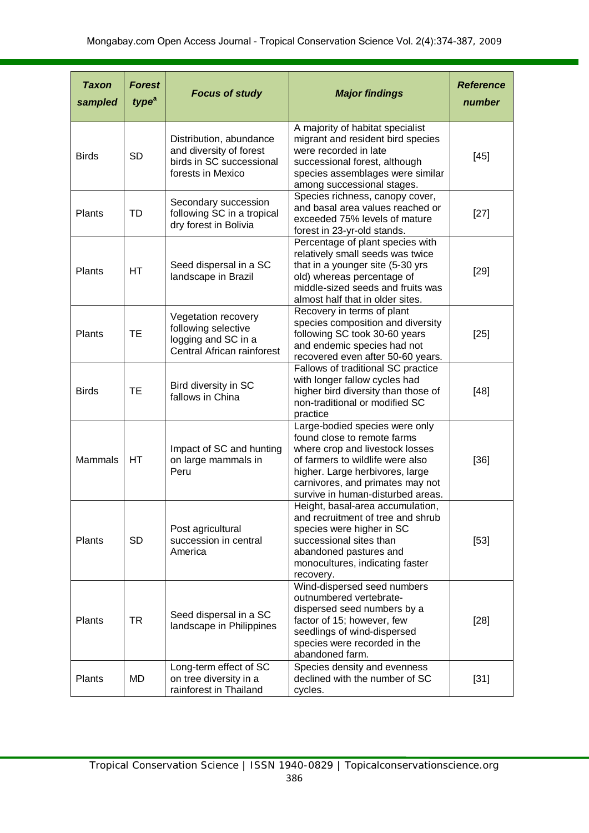| <b>Taxon</b><br>sampled | <b>Forest</b><br>type <sup>a</sup> | <b>Focus of study</b>                                                                               | <b>Major findings</b>                                                                                                                                                                                                                            | <b>Reference</b><br>number |
|-------------------------|------------------------------------|-----------------------------------------------------------------------------------------------------|--------------------------------------------------------------------------------------------------------------------------------------------------------------------------------------------------------------------------------------------------|----------------------------|
| <b>Birds</b>            | <b>SD</b>                          | Distribution, abundance<br>and diversity of forest<br>birds in SC successional<br>forests in Mexico | A majority of habitat specialist<br>migrant and resident bird species<br>were recorded in late<br>successional forest, although<br>species assemblages were similar<br>among successional stages.                                                | $[45]$                     |
| Plants                  | <b>TD</b>                          | Secondary succession<br>following SC in a tropical<br>dry forest in Bolivia                         | Species richness, canopy cover,<br>and basal area values reached or<br>exceeded 75% levels of mature<br>forest in 23-yr-old stands.                                                                                                              | $[27]$                     |
| Plants                  | HT.                                | Seed dispersal in a SC<br>landscape in Brazil                                                       | Percentage of plant species with<br>relatively small seeds was twice<br>that in a younger site (5-30 yrs<br>old) whereas percentage of<br>middle-sized seeds and fruits was<br>almost half that in older sites.                                  | $[29]$                     |
| Plants                  | <b>TE</b>                          | Vegetation recovery<br>following selective<br>logging and SC in a<br>Central African rainforest     | Recovery in terms of plant<br>species composition and diversity<br>following SC took 30-60 years<br>and endemic species had not<br>recovered even after 50-60 years.                                                                             | $[25]$                     |
| <b>Birds</b>            | <b>TE</b>                          | Bird diversity in SC<br>fallows in China                                                            | Fallows of traditional SC practice<br>with longer fallow cycles had<br>higher bird diversity than those of<br>non-traditional or modified SC<br>practice                                                                                         | $[48]$                     |
| <b>Mammals</b>          | <b>HT</b>                          | Impact of SC and hunting<br>on large mammals in<br>Peru                                             | Large-bodied species were only<br>found close to remote farms<br>where crop and livestock losses<br>of farmers to wildlife were also<br>higher. Large herbivores, large<br>carnivores, and primates may not<br>survive in human-disturbed areas. | $[36]$                     |
| Plants                  | <b>SD</b>                          | Post agricultural<br>succession in central<br>America                                               | Height, basal-area accumulation,<br>and recruitment of tree and shrub<br>species were higher in SC<br>successional sites than<br>abandoned pastures and<br>monocultures, indicating faster<br>recovery.                                          | $[53]$                     |
| Plants                  | <b>TR</b>                          | Seed dispersal in a SC<br>landscape in Philippines                                                  | Wind-dispersed seed numbers<br>outnumbered vertebrate-<br>dispersed seed numbers by a<br>factor of 15; however, few<br>seedlings of wind-dispersed<br>species were recorded in the<br>abandoned farm.                                            | $[28]$                     |
| Plants                  | MD                                 | Long-term effect of SC<br>on tree diversity in a<br>rainforest in Thailand                          | Species density and evenness<br>declined with the number of SC<br>cycles.                                                                                                                                                                        | $[31]$                     |